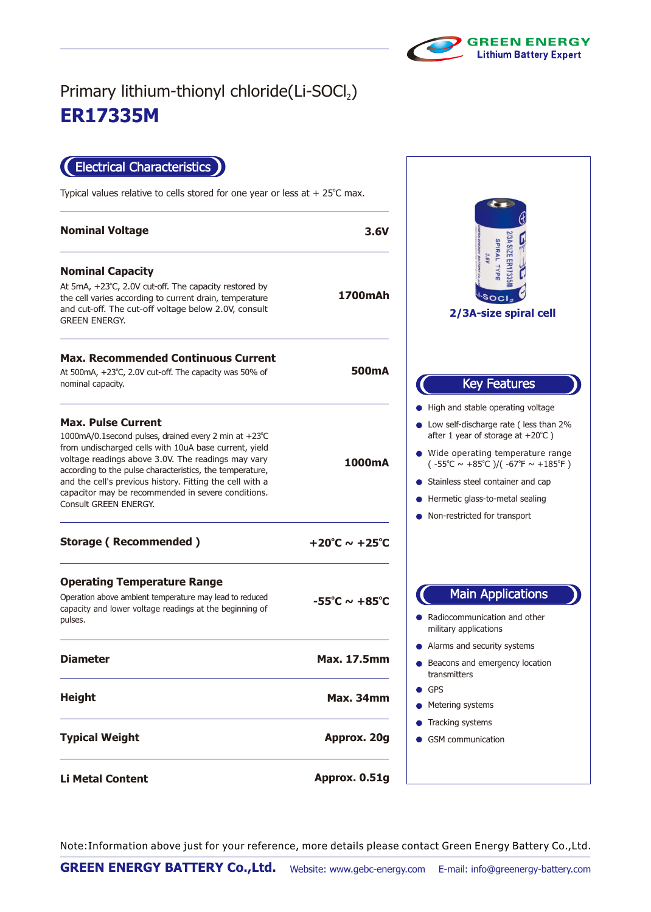

## **ER17335M** Primary lithium-thionyl chloride(Li-SOCl2)

Electrical Characteristics

Typical values relative to cells stored for one year or less at  $+25^{\circ}$ C max.

| <b>Nominal Voltage</b>                                                                                                                                                                                                                                                                                                                                                                                           | 3.6V                              |                                                                                                                                                                                                                                                                                                                                                                                   |
|------------------------------------------------------------------------------------------------------------------------------------------------------------------------------------------------------------------------------------------------------------------------------------------------------------------------------------------------------------------------------------------------------------------|-----------------------------------|-----------------------------------------------------------------------------------------------------------------------------------------------------------------------------------------------------------------------------------------------------------------------------------------------------------------------------------------------------------------------------------|
| <b>Nominal Capacity</b><br>At 5mA, $+23^{\circ}$ C, 2.0V cut-off. The capacity restored by<br>the cell varies according to current drain, temperature<br>and cut-off. The cut-off voltage below 2.0V, consult<br><b>GREEN ENERGY.</b>                                                                                                                                                                            | 1700mAh                           | 2/3A SIZE ER17335<br>SPIRAL TYPE<br>3.6V<br>2/3A-size spiral cell                                                                                                                                                                                                                                                                                                                 |
| <b>Max. Recommended Continuous Current</b><br>At 500mA, +23°C, 2.0V cut-off. The capacity was 50% of<br>nominal capacity.                                                                                                                                                                                                                                                                                        | 500mA                             | <b>Key Features</b>                                                                                                                                                                                                                                                                                                                                                               |
| <b>Max. Pulse Current</b><br>1000mA/0.1 second pulses, drained every 2 min at +23°C<br>from undischarged cells with 10uA base current, yield<br>voltage readings above 3.0V. The readings may vary<br>according to the pulse characteristics, the temperature,<br>and the cell's previous history. Fitting the cell with a<br>capacitor may be recommended in severe conditions.<br><b>Consult GREEN ENERGY.</b> | 1000mA                            | • High and stable operating voltage<br>• Low self-discharge rate (less than 2%<br>after 1 year of storage at $+20^{\circ}$ C)<br>• Wide operating temperature range<br>$(-55^{\circ}\text{C} \sim +85^{\circ}\text{C})/(-67^{\circ}\text{F} \sim +185^{\circ}\text{F})$<br>• Stainless steel container and cap<br>Hermetic glass-to-metal sealing<br>Non-restricted for transport |
| <b>Storage (Recommended)</b>                                                                                                                                                                                                                                                                                                                                                                                     | +20°C $\sim$ +25°C                |                                                                                                                                                                                                                                                                                                                                                                                   |
| <b>Operating Temperature Range</b><br>Operation above ambient temperature may lead to reduced<br>capacity and lower voltage readings at the beginning of<br>pulses.                                                                                                                                                                                                                                              | $-55^{\circ}$ C ~ $+85^{\circ}$ C | <b>Main Applications</b><br>• Radiocommunication and other<br>military applications                                                                                                                                                                                                                                                                                               |
| <b>Diameter</b>                                                                                                                                                                                                                                                                                                                                                                                                  | <b>Max. 17.5mm</b>                | • Alarms and security systems<br>Beacons and emergency location<br>transmitters                                                                                                                                                                                                                                                                                                   |
| <b>Height</b>                                                                                                                                                                                                                                                                                                                                                                                                    | <b>Max. 34mm</b>                  | $\bullet$ GPS<br>• Metering systems                                                                                                                                                                                                                                                                                                                                               |
| <b>Typical Weight</b>                                                                                                                                                                                                                                                                                                                                                                                            | Approx. 20g                       | • Tracking systems<br><b>GSM</b> communication                                                                                                                                                                                                                                                                                                                                    |
| <b>Li Metal Content</b>                                                                                                                                                                                                                                                                                                                                                                                          | Approx. 0.51g                     |                                                                                                                                                                                                                                                                                                                                                                                   |

Note:Information above just for your reference, more details please contact Green Energy Battery Co.,Ltd.